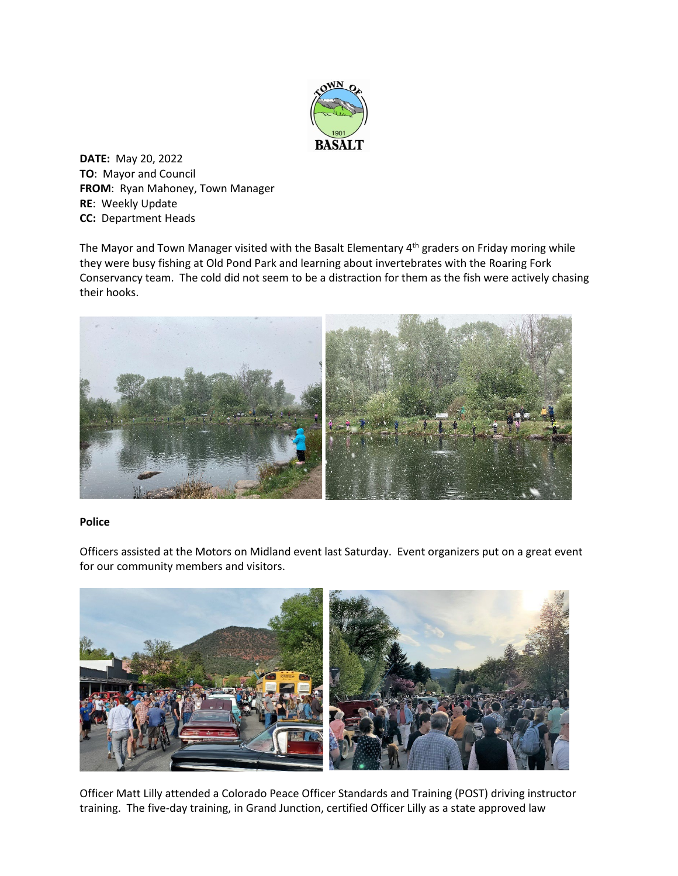

**DATE:** May 20, 2022 **TO**: Mayor and Council **FROM**: Ryan Mahoney, Town Manager **RE**: Weekly Update **CC:** Department Heads

The Mayor and Town Manager visited with the Basalt Elementary 4<sup>th</sup> graders on Friday moring while they were busy fishing at Old Pond Park and learning about invertebrates with the Roaring Fork Conservancy team. The cold did not seem to be a distraction for them as the fish were actively chasing their hooks.



## **Police**

Officers assisted at the Motors on Midland event last Saturday. Event organizers put on a great event for our community members and visitors.



Officer Matt Lilly attended a Colorado Peace Officer Standards and Training (POST) driving instructor training. The five-day training, in Grand Junction, certified Officer Lilly as a state approved law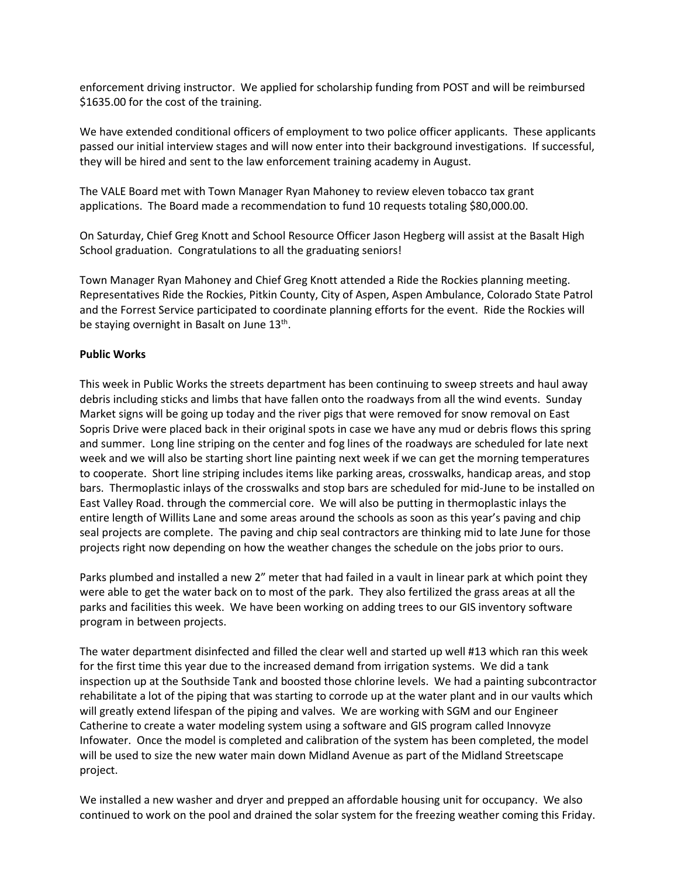enforcement driving instructor. We applied for scholarship funding from POST and will be reimbursed \$1635.00 for the cost of the training.

We have extended conditional officers of employment to two police officer applicants. These applicants passed our initial interview stages and will now enter into their background investigations. If successful, they will be hired and sent to the law enforcement training academy in August.

The VALE Board met with Town Manager Ryan Mahoney to review eleven tobacco tax grant applications. The Board made a recommendation to fund 10 requests totaling \$80,000.00.

On Saturday, Chief Greg Knott and School Resource Officer Jason Hegberg will assist at the Basalt High School graduation. Congratulations to all the graduating seniors!

Town Manager Ryan Mahoney and Chief Greg Knott attended a Ride the Rockies planning meeting. Representatives Ride the Rockies, Pitkin County, City of Aspen, Aspen Ambulance, Colorado State Patrol and the Forrest Service participated to coordinate planning efforts for the event. Ride the Rockies will be staying overnight in Basalt on June 13<sup>th</sup>.

## **Public Works**

This week in Public Works the streets department has been continuing to sweep streets and haul away debris including sticks and limbs that have fallen onto the roadways from all the wind events. Sunday Market signs will be going up today and the river pigs that were removed for snow removal on East Sopris Drive were placed back in their original spots in case we have any mud or debris flows this spring and summer. Long line striping on the center and fog lines of the roadways are scheduled for late next week and we will also be starting short line painting next week if we can get the morning temperatures to cooperate. Short line striping includes items like parking areas, crosswalks, handicap areas, and stop bars. Thermoplastic inlays of the crosswalks and stop bars are scheduled for mid-June to be installed on East Valley Road. through the commercial core. We will also be putting in thermoplastic inlays the entire length of Willits Lane and some areas around the schools as soon as this year's paving and chip seal projects are complete. The paving and chip seal contractors are thinking mid to late June for those projects right now depending on how the weather changes the schedule on the jobs prior to ours.

Parks plumbed and installed a new 2" meter that had failed in a vault in linear park at which point they were able to get the water back on to most of the park. They also fertilized the grass areas at all the parks and facilities this week. We have been working on adding trees to our GIS inventory software program in between projects.

The water department disinfected and filled the clear well and started up well #13 which ran this week for the first time this year due to the increased demand from irrigation systems. We did a tank inspection up at the Southside Tank and boosted those chlorine levels. We had a painting subcontractor rehabilitate a lot of the piping that was starting to corrode up at the water plant and in our vaults which will greatly extend lifespan of the piping and valves. We are working with SGM and our Engineer Catherine to create a water modeling system using a software and GIS program called Innovyze Infowater. Once the model is completed and calibration of the system has been completed, the model will be used to size the new water main down Midland Avenue as part of the Midland Streetscape project.

We installed a new washer and dryer and prepped an affordable housing unit for occupancy. We also continued to work on the pool and drained the solar system for the freezing weather coming this Friday.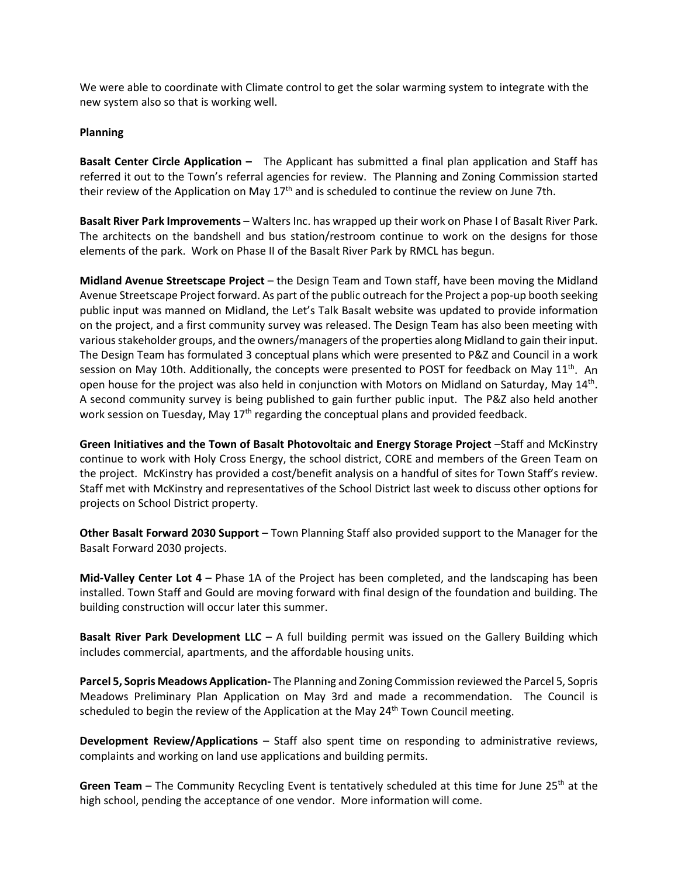We were able to coordinate with Climate control to get the solar warming system to integrate with the new system also so that is working well.

## **Planning**

**Basalt Center Circle Application –** The Applicant has submitted a final plan application and Staff has referred it out to the Town's referral agencies for review. The Planning and Zoning Commission started their review of the Application on May 17<sup>th</sup> and is scheduled to continue the review on June 7th.

**Basalt River Park Improvements** – Walters Inc. has wrapped up their work on Phase I of Basalt River Park. The architects on the bandshell and bus station/restroom continue to work on the designs for those elements of the park. Work on Phase II of the Basalt River Park by RMCL has begun.

**Midland Avenue Streetscape Project** – the Design Team and Town staff, have been moving the Midland Avenue Streetscape Project forward. As part of the public outreach for the Project a pop-up booth seeking public input was manned on Midland, the Let's Talk Basalt website was updated to provide information on the project, and a first community survey was released. The Design Team has also been meeting with various stakeholder groups, and the owners/managers of the properties along Midland to gain their input. The Design Team has formulated 3 conceptual plans which were presented to P&Z and Council in a work session on May 10th. Additionally, the concepts were presented to POST for feedback on May  $11<sup>th</sup>$ . An open house for the project was also held in conjunction with Motors on Midland on Saturday, May 14<sup>th</sup>. A second community survey is being published to gain further public input. The P&Z also held another work session on Tuesday, May  $17<sup>th</sup>$  regarding the conceptual plans and provided feedback.

**Green Initiatives and the Town of Basalt Photovoltaic and Energy Storage Project** –Staff and McKinstry continue to work with Holy Cross Energy, the school district, CORE and members of the Green Team on the project. McKinstry has provided a cost/benefit analysis on a handful of sites for Town Staff's review. Staff met with McKinstry and representatives of the School District last week to discuss other options for projects on School District property.

**Other Basalt Forward 2030 Support** – Town Planning Staff also provided support to the Manager for the Basalt Forward 2030 projects.

**Mid-Valley Center Lot 4** – Phase 1A of the Project has been completed, and the landscaping has been installed. Town Staff and Gould are moving forward with final design of the foundation and building. The building construction will occur later this summer.

**Basalt River Park Development LLC** – A full building permit was issued on the Gallery Building which includes commercial, apartments, and the affordable housing units.

**Parcel 5, Sopris Meadows Application-** The Planning and Zoning Commission reviewed the Parcel 5, Sopris Meadows Preliminary Plan Application on May 3rd and made a recommendation. The Council is scheduled to begin the review of the Application at the May  $24<sup>th</sup>$  Town Council meeting.

**Development Review/Applications** – Staff also spent time on responding to administrative reviews, complaints and working on land use applications and building permits.

**Green Team** – The Community Recycling Event is tentatively scheduled at this time for June 25<sup>th</sup> at the high school, pending the acceptance of one vendor. More information will come.